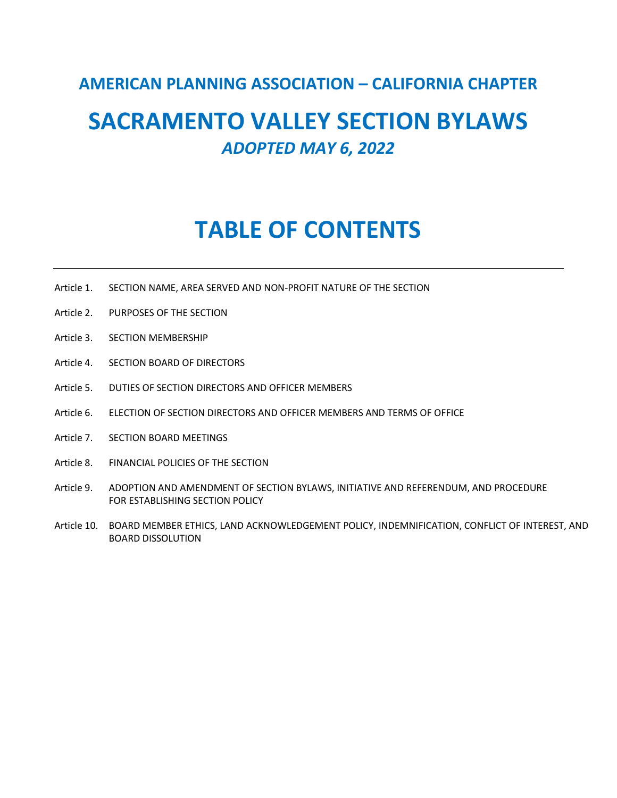# **AMERICAN PLANNING ASSOCIATION – CALIFORNIA CHAPTER**

# **SACRAMENTO VALLEY SECTION BYLAWS** *ADOPTED MAY 6, 2022*

# **TABLE OF CONTENTS**

- Article 1. SECTION NAME, AREA SERVED AND NON‐PROFIT NATURE OF THE SECTION
- Article 2. PURPOSES OF THE SECTION
- Article 3. SECTION MEMBERSHIP
- Article 4. SECTION BOARD OF DIRECTORS
- Article 5. DUTIES OF SECTION DIRECTORS AND OFFICER MEMBERS
- Article 6. ELECTION OF SECTION DIRECTORS AND OFFICER MEMBERS AND TERMS OF OFFICE
- Article 7. SECTION BOARD MEETINGS
- Article 8. FINANCIAL POLICIES OF THE SECTION
- Article 9. ADOPTION AND AMENDMENT OF SECTION BYLAWS, INITIATIVE AND REFERENDUM, AND PROCEDURE FOR ESTABLISHING SECTION POLICY
- Article 10. BOARD MEMBER ETHICS, LAND ACKNOWLEDGEMENT POLICY, INDEMNIFICATION, CONFLICT OF INTEREST, AND BOARD DISSOLUTION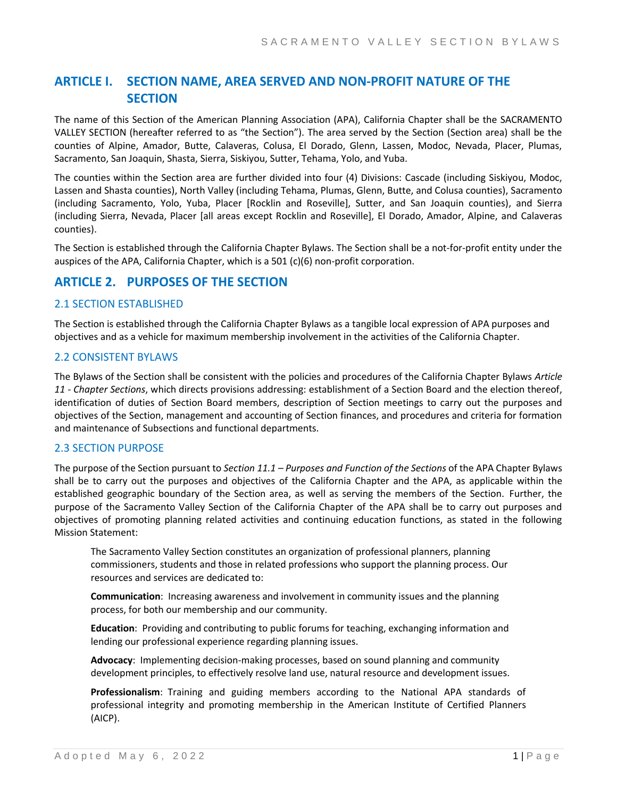# **ARTICLE I. SECTION NAME, AREA SERVED AND NON‐PROFIT NATURE OF THE SECTION**

The name of this Section of the American Planning Association (APA), California Chapter shall be the SACRAMENTO VALLEY SECTION (hereafter referred to as "the Section"). The area served by the Section (Section area) shall be the counties of Alpine, Amador, Butte, Calaveras, Colusa, El Dorado, Glenn, Lassen, Modoc, Nevada, Placer, Plumas, Sacramento, San Joaquin, Shasta, Sierra, Siskiyou, Sutter, Tehama, Yolo, and Yuba.

The counties within the Section area are further divided into four (4) Divisions: Cascade (including Siskiyou, Modoc, Lassen and Shasta counties), North Valley (including Tehama, Plumas, Glenn, Butte, and Colusa counties), Sacramento (including Sacramento, Yolo, Yuba, Placer [Rocklin and Roseville], Sutter, and San Joaquin counties), and Sierra (including Sierra, Nevada, Placer [all areas except Rocklin and Roseville], El Dorado, Amador, Alpine, and Calaveras counties).

The Section is established through the California Chapter Bylaws. The Section shall be a not-for-profit entity under the auspices of the APA, California Chapter, which is a 501 (c)(6) non‐profit corporation.

# **ARTICLE 2. PURPOSES OF THE SECTION**

# 2.1 SECTION ESTABLISHED

The Section is established through the California Chapter Bylaws as a tangible local expression of APA purposes and objectives and as a vehicle for maximum membership involvement in the activities of the California Chapter.

# 2.2 CONSISTENT BYLAWS

The Bylaws of the Section shall be consistent with the policies and procedures of the California Chapter Bylaws *Article 11 ‐ Chapter Sections*, which directs provisions addressing: establishment of a Section Board and the election thereof, identification of duties of Section Board members, description of Section meetings to carry out the purposes and objectives of the Section, management and accounting of Section finances, and procedures and criteria for formation and maintenance of Subsections and functional departments.

# 2.3 SECTION PURPOSE

The purpose of the Section pursuant to *Section 11.1 – Purposes and Function of the Sections* of the APA Chapter Bylaws shall be to carry out the purposes and objectives of the California Chapter and the APA, as applicable within the established geographic boundary of the Section area, as well as serving the members of the Section. Further, the purpose of the Sacramento Valley Section of the California Chapter of the APA shall be to carry out purposes and objectives of promoting planning related activities and continuing education functions, as stated in the following Mission Statement:

The Sacramento Valley Section constitutes an organization of professional planners, planning commissioners, students and those in related professions who support the planning process. Our resources and services are dedicated to:

**Communication**: Increasing awareness and involvement in community issues and the planning process, for both our membership and our community.

**Education**: Providing and contributing to public forums for teaching, exchanging information and lending our professional experience regarding planning issues.

Advocacy: Implementing decision-making processes, based on sound planning and community development principles, to effectively resolve land use, natural resource and development issues.

**Professionalism**: Training and guiding members according to the National APA standards of professional integrity and promoting membership in the American Institute of Certified Planners (AICP).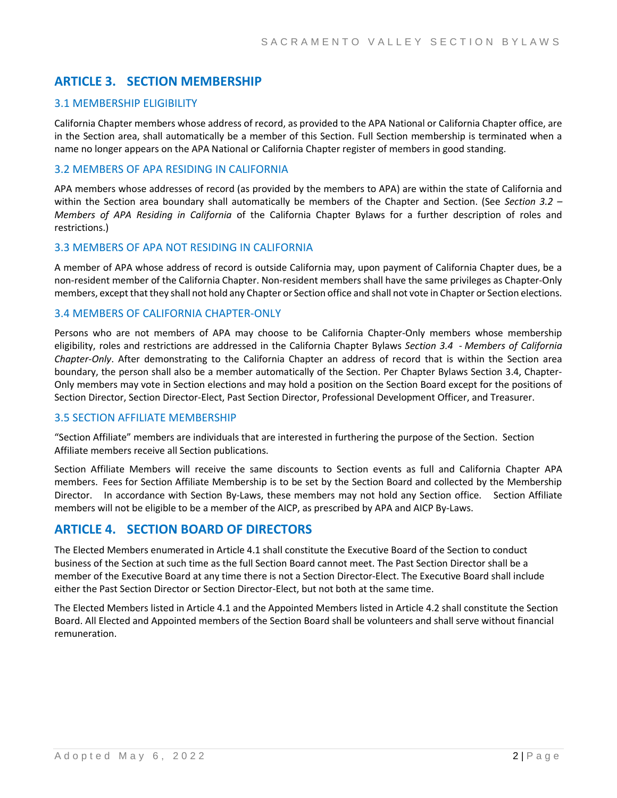# **ARTICLE 3. SECTION MEMBERSHIP**

# 3.1 MEMBERSHIP ELIGIBILITY

California Chapter members whose address of record, as provided to the APA National or California Chapter office, are in the Section area, shall automatically be a member of this Section. Full Section membership is terminated when a name no longer appears on the APA National or California Chapter register of members in good standing.

# 3.2 MEMBERS OF APA RESIDING IN CALIFORNIA

APA members whose addresses of record (as provided by the members to APA) are within the state of California and within the Section area boundary shall automatically be members of the Chapter and Section. (See *Section 3.2 – Members of APA Residing in California* of the California Chapter Bylaws for a further description of roles and restrictions.)

## 3.3 MEMBERS OF APA NOT RESIDING IN CALIFORNIA

A member of APA whose address of record is outside California may, upon payment of California Chapter dues, be a non‐resident member of the California Chapter. Non‐resident members shall have the same privileges as Chapter‐Only members, except that they shall not hold any Chapter or Section office and shall not vote in Chapter or Section elections.

## 3.4 MEMBERS OF CALIFORNIA CHAPTER‐ONLY

Persons who are not members of APA may choose to be California Chapter-Only members whose membership eligibility, roles and restrictions are addressed in the California Chapter Bylaws *Section 3.4* ‐ *Members of California Chapter‐Only*. After demonstrating to the California Chapter an address of record that is within the Section area boundary, the person shall also be a member automatically of the Section. Per Chapter Bylaws Section 3.4, Chapter‐ Only members may vote in Section elections and may hold a position on the Section Board except for the positions of Section Director, Section Director‐Elect, Past Section Director, Professional Development Officer, and Treasurer.

# 3.5 SECTION AFFILIATE MEMBERSHIP

"Section Affiliate" members are individuals that are interested in furthering the purpose of the Section. Section Affiliate members receive all Section publications.

Section Affiliate Members will receive the same discounts to Section events as full and California Chapter APA members. Fees for Section Affiliate Membership is to be set by the Section Board and collected by the Membership Director. In accordance with Section By-Laws, these members may not hold any Section office. Section Affiliate members will not be eligible to be a member of the AICP, as prescribed by APA and AICP By‐Laws.

# **ARTICLE 4. SECTION BOARD OF DIRECTORS**

The Elected Members enumerated in Article 4.1 shall constitute the Executive Board of the Section to conduct business of the Section at such time as the full Section Board cannot meet. The Past Section Director shall be a member of the Executive Board at any time there is not a Section Director‐Elect. The Executive Board shall include either the Past Section Director or Section Director‐Elect, but not both at the same time.

The Elected Members listed in Article 4.1 and the Appointed Members listed in Article 4.2 shall constitute the Section Board. All Elected and Appointed members of the Section Board shall be volunteers and shall serve without financial remuneration.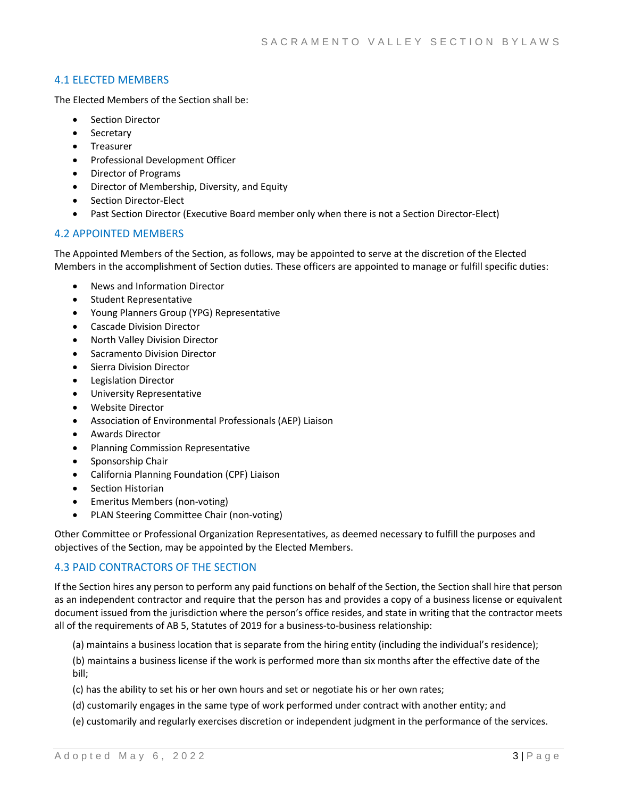# 4.1 ELECTED MEMBERS

The Elected Members of the Section shall be:

- Section Director
- **Secretary**
- Treasurer
- Professional Development Officer
- Director of Programs
- Director of Membership, Diversity, and Equity
- Section Director‐Elect
- Past Section Director (Executive Board member only when there is not a Section Director‐Elect)

# 4.2 APPOINTED MEMBERS

The Appointed Members of the Section, as follows, may be appointed to serve at the discretion of the Elected Members in the accomplishment of Section duties. These officers are appointed to manage or fulfill specific duties:

- News and Information Director
- Student Representative
- Young Planners Group (YPG) Representative
- Cascade Division Director
- North Valley Division Director
- Sacramento Division Director
- Sierra Division Director
- Legislation Director
- University Representative
- Website Director
- Association of Environmental Professionals (AEP) Liaison
- Awards Director
- Planning Commission Representative
- Sponsorship Chair
- California Planning Foundation (CPF) Liaison
- Section Historian
- Emeritus Members (non‐voting)
- PLAN Steering Committee Chair (non‐voting)

Other Committee or Professional Organization Representatives, as deemed necessary to fulfill the purposes and objectives of the Section, may be appointed by the Elected Members.

# 4.3 PAID CONTRACTORS OF THE SECTION

If the Section hires any person to perform any paid functions on behalf of the Section, the Section shall hire that person as an independent contractor and require that the person has and provides a copy of a business license or equivalent document issued from the jurisdiction where the person's office resides, and state in writing that the contractor meets all of the requirements of AB 5, Statutes of 2019 for a business-to-business relationship:

(a) maintains a business location that is separate from the hiring entity (including the individual's residence);

(b) maintains a business license if the work is performed more than six months after the effective date of the bill;

- (c) has the ability to set his or her own hours and set or negotiate his or her own rates;
- (d) customarily engages in the same type of work performed under contract with another entity; and
- (e) customarily and regularly exercises discretion or independent judgment in the performance of the services.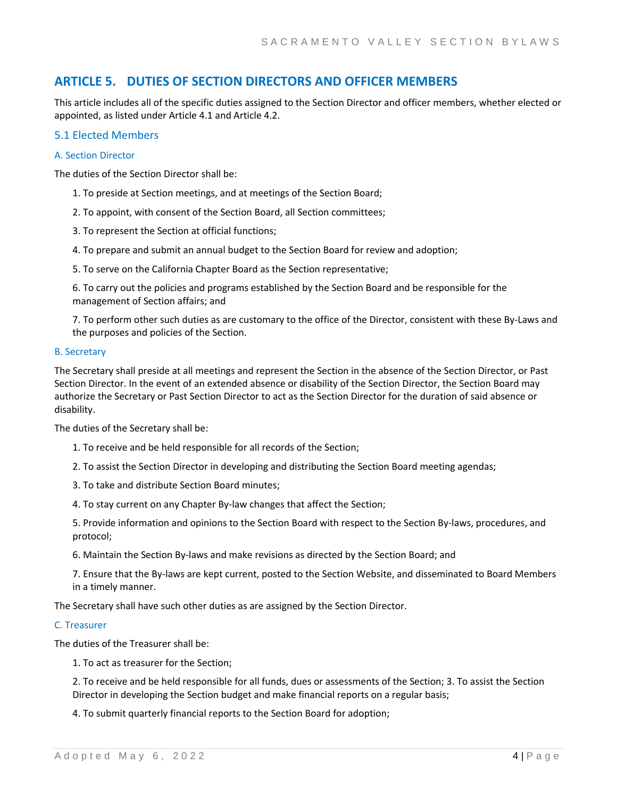# **ARTICLE 5. DUTIES OF SECTION DIRECTORS AND OFFICER MEMBERS**

This article includes all of the specific duties assigned to the Section Director and officer members, whether elected or appointed, as listed under Article 4.1 and Article 4.2.

## 5.1 Elected Members

#### A. Section Director

The duties of the Section Director shall be:

- 1. To preside at Section meetings, and at meetings of the Section Board;
- 2. To appoint, with consent of the Section Board, all Section committees;
- 3. To represent the Section at official functions;
- 4. To prepare and submit an annual budget to the Section Board for review and adoption;
- 5. To serve on the California Chapter Board as the Section representative;

6. To carry out the policies and programs established by the Section Board and be responsible for the management of Section affairs; and

7. To perform other such duties as are customary to the office of the Director, consistent with these By‐Laws and the purposes and policies of the Section.

#### B. Secretary

The Secretary shall preside at all meetings and represent the Section in the absence of the Section Director, or Past Section Director. In the event of an extended absence or disability of the Section Director, the Section Board may authorize the Secretary or Past Section Director to act as the Section Director for the duration of said absence or disability.

The duties of the Secretary shall be:

- 1. To receive and be held responsible for all records of the Section;
- 2. To assist the Section Director in developing and distributing the Section Board meeting agendas;
- 3. To take and distribute Section Board minutes;
- 4. To stay current on any Chapter By‐law changes that affect the Section;

5. Provide information and opinions to the Section Board with respect to the Section By‐laws, procedures, and protocol;

6. Maintain the Section By‐laws and make revisions as directed by the Section Board; and

7. Ensure that the By‐laws are kept current, posted to the Section Website, and disseminated to Board Members in a timely manner.

The Secretary shall have such other duties as are assigned by the Section Director.

#### C. Treasurer

The duties of the Treasurer shall be:

1. To act as treasurer for the Section;

2. To receive and be held responsible for all funds, dues or assessments of the Section; 3. To assist the Section Director in developing the Section budget and make financial reports on a regular basis;

4. To submit quarterly financial reports to the Section Board for adoption;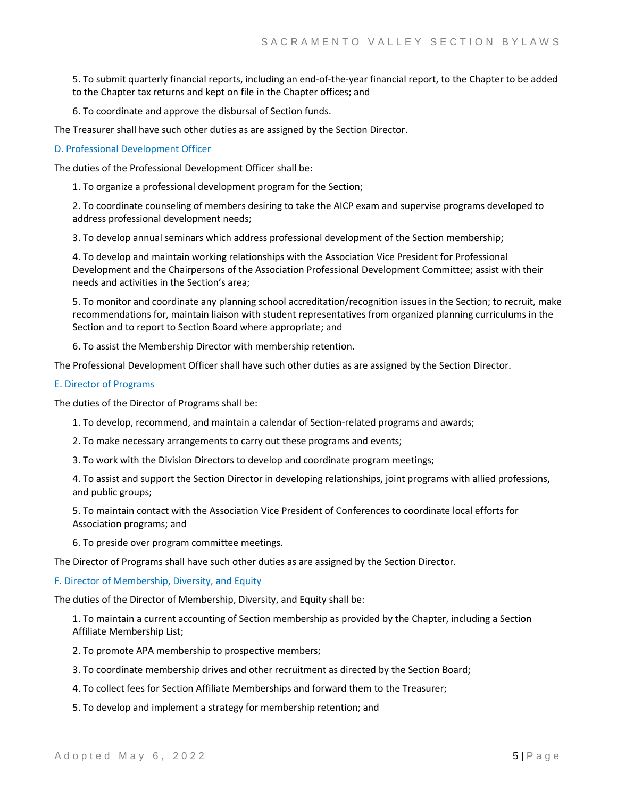5. To submit quarterly financial reports, including an end‐of‐the‐year financial report, to the Chapter to be added to the Chapter tax returns and kept on file in the Chapter offices; and

6. To coordinate and approve the disbursal of Section funds.

The Treasurer shall have such other duties as are assigned by the Section Director.

#### D. Professional Development Officer

The duties of the Professional Development Officer shall be:

1. To organize a professional development program for the Section;

2. To coordinate counseling of members desiring to take the AICP exam and supervise programs developed to address professional development needs;

3. To develop annual seminars which address professional development of the Section membership;

4. To develop and maintain working relationships with the Association Vice President for Professional Development and the Chairpersons of the Association Professional Development Committee; assist with their needs and activities in the Section's area;

5. To monitor and coordinate any planning school accreditation/recognition issues in the Section; to recruit, make recommendations for, maintain liaison with student representatives from organized planning curriculums in the Section and to report to Section Board where appropriate; and

6. To assist the Membership Director with membership retention.

The Professional Development Officer shall have such other duties as are assigned by the Section Director.

#### E. Director of Programs

The duties of the Director of Programs shall be:

1. To develop, recommend, and maintain a calendar of Section‐related programs and awards;

2. To make necessary arrangements to carry out these programs and events;

3. To work with the Division Directors to develop and coordinate program meetings;

4. To assist and support the Section Director in developing relationships, joint programs with allied professions, and public groups;

5. To maintain contact with the Association Vice President of Conferences to coordinate local efforts for Association programs; and

6. To preside over program committee meetings.

The Director of Programs shall have such other duties as are assigned by the Section Director.

#### F. Director of Membership, Diversity, and Equity

The duties of the Director of Membership, Diversity, and Equity shall be:

1. To maintain a current accounting of Section membership as provided by the Chapter, including a Section Affiliate Membership List;

2. To promote APA membership to prospective members;

3. To coordinate membership drives and other recruitment as directed by the Section Board;

4. To collect fees for Section Affiliate Memberships and forward them to the Treasurer;

5. To develop and implement a strategy for membership retention; and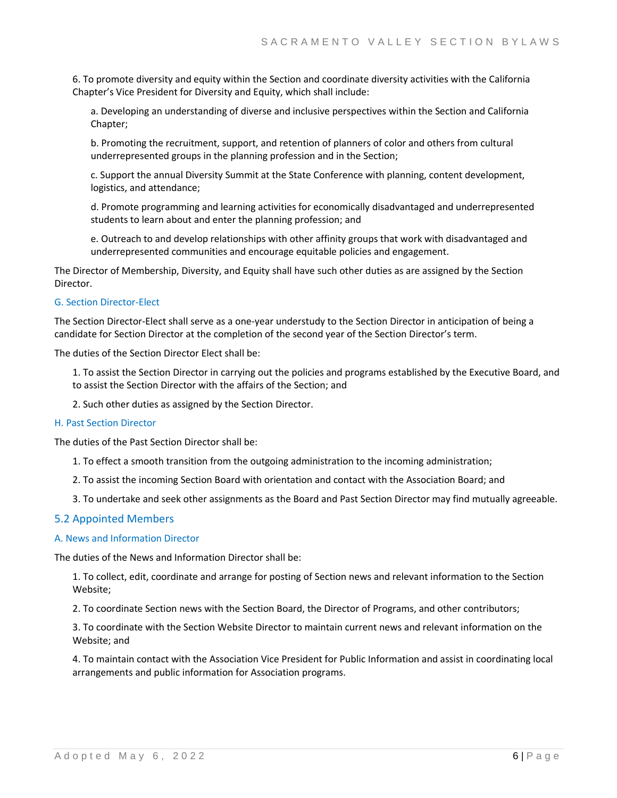6. To promote diversity and equity within the Section and coordinate diversity activities with the California Chapter's Vice President for Diversity and Equity, which shall include:

a. Developing an understanding of diverse and inclusive perspectives within the Section and California Chapter;

b. Promoting the recruitment, support, and retention of planners of color and others from cultural underrepresented groups in the planning profession and in the Section;

c. Support the annual Diversity Summit at the State Conference with planning, content development, logistics, and attendance;

d. Promote programming and learning activities for economically disadvantaged and underrepresented students to learn about and enter the planning profession; and

e. Outreach to and develop relationships with other affinity groups that work with disadvantaged and underrepresented communities and encourage equitable policies and engagement.

The Director of Membership, Diversity, and Equity shall have such other duties as are assigned by the Section Director.

#### G. Section Director‐Elect

The Section Director‐Elect shall serve as a one‐year understudy to the Section Director in anticipation of being a candidate for Section Director at the completion of the second year of the Section Director's term.

The duties of the Section Director Elect shall be:

1. To assist the Section Director in carrying out the policies and programs established by the Executive Board, and to assist the Section Director with the affairs of the Section; and

2. Such other duties as assigned by the Section Director.

#### H. Past Section Director

The duties of the Past Section Director shall be:

- 1. To effect a smooth transition from the outgoing administration to the incoming administration;
- 2. To assist the incoming Section Board with orientation and contact with the Association Board; and
- 3. To undertake and seek other assignments as the Board and Past Section Director may find mutually agreeable.

#### 5.2 Appointed Members

#### A. News and Information Director

The duties of the News and Information Director shall be:

1. To collect, edit, coordinate and arrange for posting of Section news and relevant information to the Section Website;

2. To coordinate Section news with the Section Board, the Director of Programs, and other contributors;

3. To coordinate with the Section Website Director to maintain current news and relevant information on the Website; and

4. To maintain contact with the Association Vice President for Public Information and assist in coordinating local arrangements and public information for Association programs.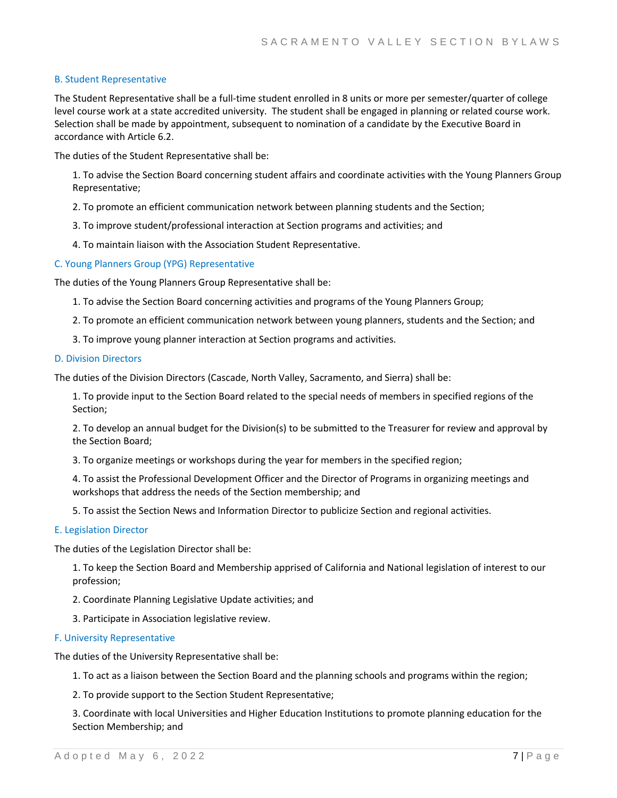#### B. Student Representative

The Student Representative shall be a full-time student enrolled in 8 units or more per semester/quarter of college level course work at a state accredited university. The student shall be engaged in planning or related course work. Selection shall be made by appointment, subsequent to nomination of a candidate by the Executive Board in accordance with Article 6.2.

The duties of the Student Representative shall be:

1. To advise the Section Board concerning student affairs and coordinate activities with the Young Planners Group Representative;

2. To promote an efficient communication network between planning students and the Section;

- 3. To improve student/professional interaction at Section programs and activities; and
- 4. To maintain liaison with the Association Student Representative.

#### C. Young Planners Group (YPG) Representative

The duties of the Young Planners Group Representative shall be:

- 1. To advise the Section Board concerning activities and programs of the Young Planners Group;
- 2. To promote an efficient communication network between young planners, students and the Section; and
- 3. To improve young planner interaction at Section programs and activities.

#### D. Division Directors

The duties of the Division Directors (Cascade, North Valley, Sacramento, and Sierra) shall be:

1. To provide input to the Section Board related to the special needs of members in specified regions of the Section;

2. To develop an annual budget for the Division(s) to be submitted to the Treasurer for review and approval by the Section Board;

3. To organize meetings or workshops during the year for members in the specified region;

4. To assist the Professional Development Officer and the Director of Programs in organizing meetings and workshops that address the needs of the Section membership; and

5. To assist the Section News and Information Director to publicize Section and regional activities.

#### E. Legislation Director

The duties of the Legislation Director shall be:

1. To keep the Section Board and Membership apprised of California and National legislation of interest to our profession;

- 2. Coordinate Planning Legislative Update activities; and
- 3. Participate in Association legislative review.
- F. University Representative

The duties of the University Representative shall be:

1. To act as a liaison between the Section Board and the planning schools and programs within the region;

2. To provide support to the Section Student Representative;

3. Coordinate with local Universities and Higher Education Institutions to promote planning education for the Section Membership; and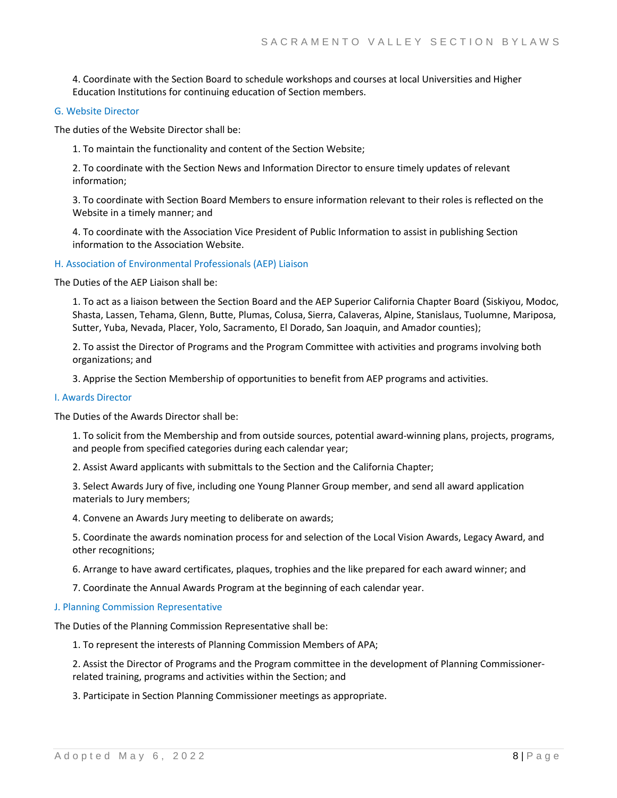4. Coordinate with the Section Board to schedule workshops and courses at local Universities and Higher Education Institutions for continuing education of Section members.

#### G. Website Director

The duties of the Website Director shall be:

1. To maintain the functionality and content of the Section Website;

2. To coordinate with the Section News and Information Director to ensure timely updates of relevant information;

3. To coordinate with Section Board Members to ensure information relevant to their roles is reflected on the Website in a timely manner; and

4. To coordinate with the Association Vice President of Public Information to assist in publishing Section information to the Association Website.

#### H. Association of Environmental Professionals (AEP) Liaison

The Duties of the AEP Liaison shall be:

1. To act as a liaison between the Section Board and the AEP Superior California Chapter Board (Siskiyou, Modoc, Shasta, Lassen, Tehama, Glenn, Butte, Plumas, Colusa, Sierra, Calaveras, Alpine, Stanislaus, Tuolumne, Mariposa, Sutter, Yuba, Nevada, Placer, Yolo, Sacramento, El Dorado, San Joaquin, and Amador counties);

2. To assist the Director of Programs and the Program Committee with activities and programs involving both organizations; and

3. Apprise the Section Membership of opportunities to benefit from AEP programs and activities.

#### I. Awards Director

The Duties of the Awards Director shall be:

1. To solicit from the Membership and from outside sources, potential award‐winning plans, projects, programs, and people from specified categories during each calendar year;

2. Assist Award applicants with submittals to the Section and the California Chapter;

3. Select Awards Jury of five, including one Young Planner Group member, and send all award application materials to Jury members;

4. Convene an Awards Jury meeting to deliberate on awards;

5. Coordinate the awards nomination process for and selection of the Local Vision Awards, Legacy Award, and other recognitions;

6. Arrange to have award certificates, plaques, trophies and the like prepared for each award winner; and

7. Coordinate the Annual Awards Program at the beginning of each calendar year.

#### J. Planning Commission Representative

The Duties of the Planning Commission Representative shall be:

1. To represent the interests of Planning Commission Members of APA;

2. Assist the Director of Programs and the Program committee in the development of Planning Commissioner‐ related training, programs and activities within the Section; and

3. Participate in Section Planning Commissioner meetings as appropriate.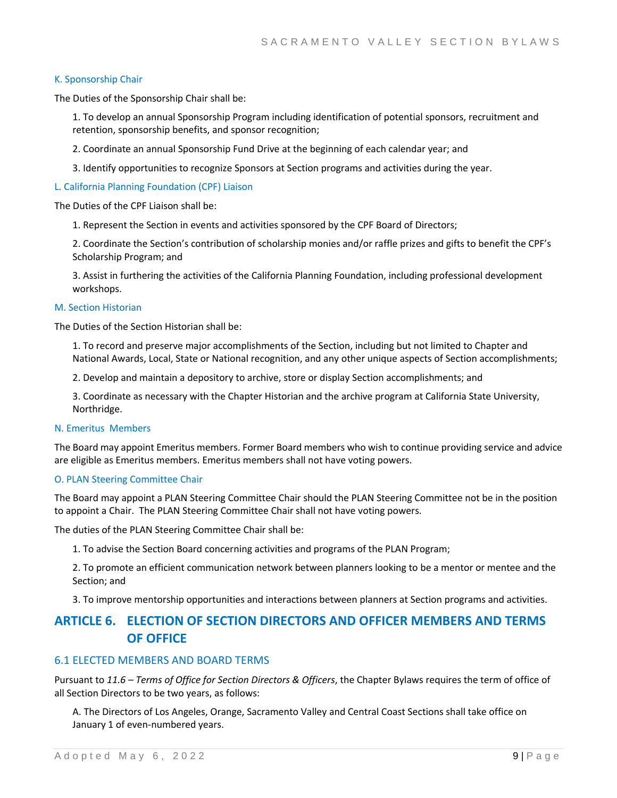#### K. Sponsorship Chair

The Duties of the Sponsorship Chair shall be:

1. To develop an annual Sponsorship Program including identification of potential sponsors, recruitment and retention, sponsorship benefits, and sponsor recognition;

2. Coordinate an annual Sponsorship Fund Drive at the beginning of each calendar year; and

3. Identify opportunities to recognize Sponsors at Section programs and activities during the year.

#### L. California Planning Foundation (CPF) Liaison

The Duties of the CPF Liaison shall be:

1. Represent the Section in events and activities sponsored by the CPF Board of Directors;

2. Coordinate the Section's contribution of scholarship monies and/or raffle prizes and gifts to benefit the CPF's Scholarship Program; and

3. Assist in furthering the activities of the California Planning Foundation, including professional development workshops.

#### M. Section Historian

The Duties of the Section Historian shall be:

1. To record and preserve major accomplishments of the Section, including but not limited to Chapter and National Awards, Local, State or National recognition, and any other unique aspects of Section accomplishments;

2. Develop and maintain a depository to archive, store or display Section accomplishments; and

3. Coordinate as necessary with the Chapter Historian and the archive program at California State University, Northridge.

#### N. Emeritus Members

The Board may appoint Emeritus members. Former Board members who wish to continue providing service and advice are eligible as Emeritus members. Emeritus members shall not have voting powers.

#### O. PLAN Steering Committee Chair

The Board may appoint a PLAN Steering Committee Chair should the PLAN Steering Committee not be in the position to appoint a Chair. The PLAN Steering Committee Chair shall not have voting powers.

The duties of the PLAN Steering Committee Chair shall be:

1. To advise the Section Board concerning activities and programs of the PLAN Program;

2. To promote an efficient communication network between planners looking to be a mentor or mentee and the Section; and

3. To improve mentorship opportunities and interactions between planners at Section programs and activities.

# **ARTICLE 6. ELECTION OF SECTION DIRECTORS AND OFFICER MEMBERS AND TERMS OF OFFICE**

# 6.1 ELECTED MEMBERS AND BOARD TERMS

Pursuant to *11.6 – Terms of Office for Section Directors & Officers*, the Chapter Bylaws requires the term of office of all Section Directors to be two years, as follows:

A. The Directors of Los Angeles, Orange, Sacramento Valley and Central Coast Sections shall take office on January 1 of even‐numbered years.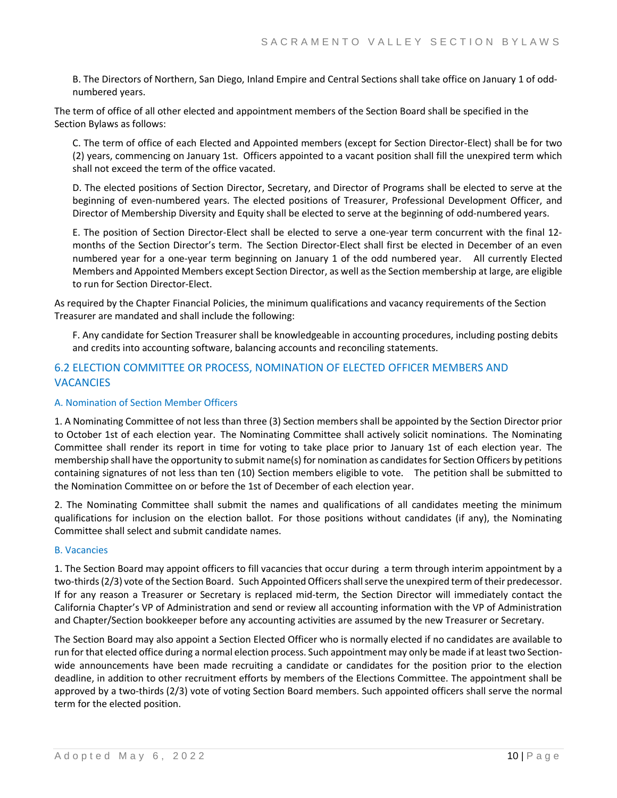B. The Directors of Northern, San Diego, Inland Empire and Central Sections shall take office on January 1 of odd‐ numbered years.

The term of office of all other elected and appointment members of the Section Board shall be specified in the Section Bylaws as follows:

C. The term of office of each Elected and Appointed members (except for Section Director‐Elect) shall be for two (2) years, commencing on January 1st. Officers appointed to a vacant position shall fill the unexpired term which shall not exceed the term of the office vacated.

D. The elected positions of Section Director, Secretary, and Director of Programs shall be elected to serve at the beginning of even‐numbered years. The elected positions of Treasurer, Professional Development Officer, and Director of Membership Diversity and Equity shall be elected to serve at the beginning of odd-numbered years.

E. The position of Section Director‐Elect shall be elected to serve a one‐year term concurrent with the final 12‐ months of the Section Director's term. The Section Director‐Elect shall first be elected in December of an even numbered year for a one‐year term beginning on January 1 of the odd numbered year. All currently Elected Members and Appointed Members except Section Director, as well as the Section membership at large, are eligible to run for Section Director‐Elect.

As required by the Chapter Financial Policies, the minimum qualifications and vacancy requirements of the Section Treasurer are mandated and shall include the following:

F. Any candidate for Section Treasurer shall be knowledgeable in accounting procedures, including posting debits and credits into accounting software, balancing accounts and reconciling statements.

# 6.2 ELECTION COMMITTEE OR PROCESS, NOMINATION OF ELECTED OFFICER MEMBERS AND **VACANCIES**

# A. Nomination of Section Member Officers

1. A Nominating Committee of not less than three (3) Section members shall be appointed by the Section Director prior to October 1st of each election year. The Nominating Committee shall actively solicit nominations. The Nominating Committee shall render its report in time for voting to take place prior to January 1st of each election year. The membership shall have the opportunity to submit name(s) for nomination as candidates for Section Officers by petitions containing signatures of not less than ten (10) Section members eligible to vote. The petition shall be submitted to the Nomination Committee on or before the 1st of December of each election year.

2. The Nominating Committee shall submit the names and qualifications of all candidates meeting the minimum qualifications for inclusion on the election ballot. For those positions without candidates (if any), the Nominating Committee shall select and submit candidate names.

#### B. Vacancies

1. The Section Board may appoint officers to fill vacancies that occur during a term through interim appointment by a two-thirds (2/3) vote of the Section Board. Such Appointed Officers shall serve the unexpired term of their predecessor. If for any reason a Treasurer or Secretary is replaced mid‐term, the Section Director will immediately contact the California Chapter's VP of Administration and send or review all accounting information with the VP of Administration and Chapter/Section bookkeeper before any accounting activities are assumed by the new Treasurer or Secretary.

The Section Board may also appoint a Section Elected Officer who is normally elected if no candidates are available to run for that elected office during a normal election process. Such appointment may only be made if at least two Sectionwide announcements have been made recruiting a candidate or candidates for the position prior to the election deadline, in addition to other recruitment efforts by members of the Elections Committee. The appointment shall be approved by a two-thirds (2/3) vote of voting Section Board members. Such appointed officers shall serve the normal term for the elected position.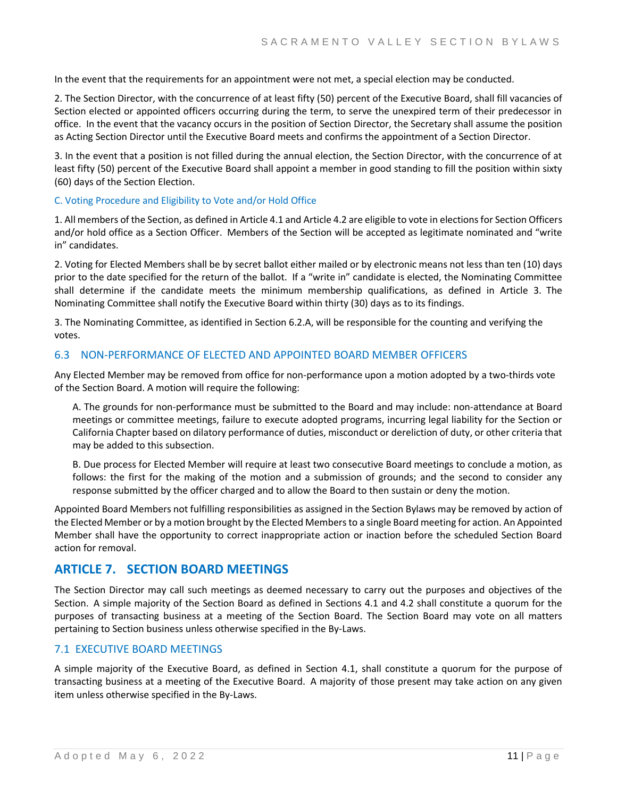In the event that the requirements for an appointment were not met, a special election may be conducted.

2. The Section Director, with the concurrence of at least fifty (50) percent of the Executive Board, shall fill vacancies of Section elected or appointed officers occurring during the term, to serve the unexpired term of their predecessor in office. In the event that the vacancy occurs in the position of Section Director, the Secretary shall assume the position as Acting Section Director until the Executive Board meets and confirms the appointment of a Section Director.

3. In the event that a position is not filled during the annual election, the Section Director, with the concurrence of at least fifty (50) percent of the Executive Board shall appoint a member in good standing to fill the position within sixty (60) days of the Section Election.

C. Voting Procedure and Eligibility to Vote and/or Hold Office

1. All members of the Section, as defined in Article 4.1 and Article 4.2 are eligible to vote in elections for Section Officers and/or hold office as a Section Officer. Members of the Section will be accepted as legitimate nominated and "write in" candidates.

2. Voting for Elected Members shall be by secret ballot either mailed or by electronic means not less than ten (10) days prior to the date specified for the return of the ballot. If a "write in" candidate is elected, the Nominating Committee shall determine if the candidate meets the minimum membership qualifications, as defined in Article 3. The Nominating Committee shall notify the Executive Board within thirty (30) days as to its findings.

3. The Nominating Committee, as identified in Section 6.2.A, will be responsible for the counting and verifying the votes.

## 6.3 NON‐PERFORMANCE OF ELECTED AND APPOINTED BOARD MEMBER OFFICERS

Any Elected Member may be removed from office for non‐performance upon a motion adopted by a two‐thirds vote of the Section Board. A motion will require the following:

A. The grounds for non‐performance must be submitted to the Board and may include: non‐attendance at Board meetings or committee meetings, failure to execute adopted programs, incurring legal liability for the Section or California Chapter based on dilatory performance of duties, misconduct or dereliction of duty, or other criteria that may be added to this subsection.

B. Due process for Elected Member will require at least two consecutive Board meetings to conclude a motion, as follows: the first for the making of the motion and a submission of grounds; and the second to consider any response submitted by the officer charged and to allow the Board to then sustain or deny the motion.

Appointed Board Members not fulfilling responsibilities as assigned in the Section Bylaws may be removed by action of the Elected Member or by a motion brought by the Elected Members to a single Board meeting for action. An Appointed Member shall have the opportunity to correct inappropriate action or inaction before the scheduled Section Board action for removal.

# **ARTICLE 7. SECTION BOARD MEETINGS**

The Section Director may call such meetings as deemed necessary to carry out the purposes and objectives of the Section. A simple majority of the Section Board as defined in Sections 4.1 and 4.2 shall constitute a quorum for the purposes of transacting business at a meeting of the Section Board. The Section Board may vote on all matters pertaining to Section business unless otherwise specified in the By‐Laws.

# 7.1 EXECUTIVE BOARD MEETINGS

A simple majority of the Executive Board, as defined in Section 4.1, shall constitute a quorum for the purpose of transacting business at a meeting of the Executive Board. A majority of those present may take action on any given item unless otherwise specified in the By‐Laws.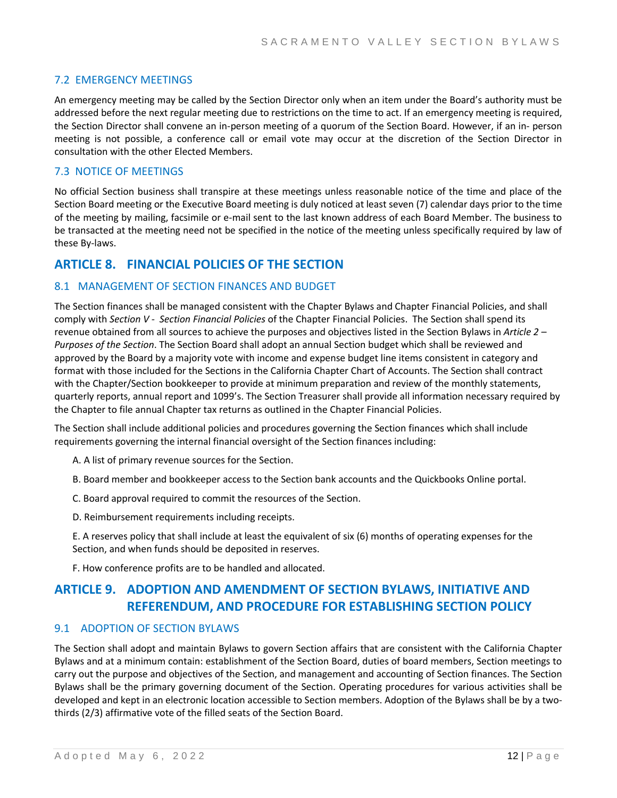# 7.2 EMERGENCY MEETINGS

An emergency meeting may be called by the Section Director only when an item under the Board's authority must be addressed before the next regular meeting due to restrictions on the time to act. If an emergency meeting is required, the Section Director shall convene an in‐person meeting of a quorum of the Section Board. However, if an in‐ person meeting is not possible, a conference call or email vote may occur at the discretion of the Section Director in consultation with the other Elected Members.

# 7.3 NOTICE OF MEETINGS

No official Section business shall transpire at these meetings unless reasonable notice of the time and place of the Section Board meeting or the Executive Board meeting is duly noticed at least seven (7) calendar days prior to the time of the meeting by mailing, facsimile or e‐mail sent to the last known address of each Board Member. The business to be transacted at the meeting need not be specified in the notice of the meeting unless specifically required by law of these By‐laws.

# **ARTICLE 8. FINANCIAL POLICIES OF THE SECTION**

# 8.1 MANAGEMENT OF SECTION FINANCES AND BUDGET

The Section finances shall be managed consistent with the Chapter Bylaws and Chapter Financial Policies, and shall comply with *Section V ‐ Section Financial Policies* of the Chapter Financial Policies. The Section shall spend its revenue obtained from all sources to achieve the purposes and objectives listed in the Section Bylaws in *Article 2 – Purposes of the Section*. The Section Board shall adopt an annual Section budget which shall be reviewed and approved by the Board by a majority vote with income and expense budget line items consistent in category and format with those included for the Sections in the California Chapter Chart of Accounts. The Section shall contract with the Chapter/Section bookkeeper to provide at minimum preparation and review of the monthly statements, quarterly reports, annual report and 1099's. The Section Treasurer shall provide all information necessary required by the Chapter to file annual Chapter tax returns as outlined in the Chapter Financial Policies.

The Section shall include additional policies and procedures governing the Section finances which shall include requirements governing the internal financial oversight of the Section finances including:

- A. A list of primary revenue sources for the Section.
- B. Board member and bookkeeper access to the Section bank accounts and the Quickbooks Online portal.
- C. Board approval required to commit the resources of the Section.
- D. Reimbursement requirements including receipts.

E. A reserves policy that shall include at least the equivalent of six (6) months of operating expenses for the Section, and when funds should be deposited in reserves.

F. How conference profits are to be handled and allocated.

# **ARTICLE 9. ADOPTION AND AMENDMENT OF SECTION BYLAWS, INITIATIVE AND REFERENDUM, AND PROCEDURE FOR ESTABLISHING SECTION POLICY**

# 9.1 ADOPTION OF SECTION BYLAWS

The Section shall adopt and maintain Bylaws to govern Section affairs that are consistent with the California Chapter Bylaws and at a minimum contain: establishment of the Section Board, duties of board members, Section meetings to carry out the purpose and objectives of the Section, and management and accounting of Section finances. The Section Bylaws shall be the primary governing document of the Section. Operating procedures for various activities shall be developed and kept in an electronic location accessible to Section members. Adoption of the Bylaws shall be by a twothirds (2/3) affirmative vote of the filled seats of the Section Board.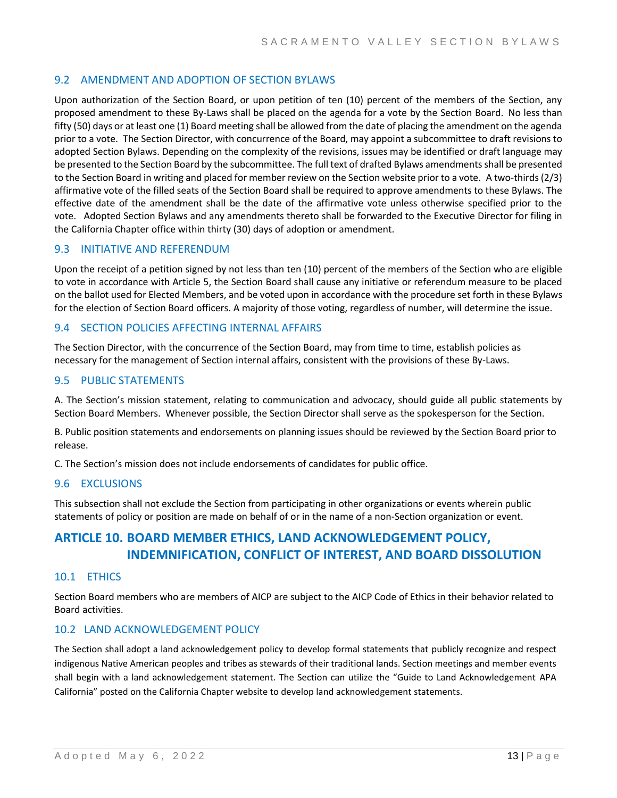# 9.2 AMENDMENT AND ADOPTION OF SECTION BYLAWS

Upon authorization of the Section Board, or upon petition of ten (10) percent of the members of the Section, any proposed amendment to these By‐Laws shall be placed on the agenda for a vote by the Section Board. No less than fifty (50) days or at least one (1) Board meeting shall be allowed from the date of placing the amendment on the agenda prior to a vote. The Section Director, with concurrence of the Board, may appoint a subcommittee to draft revisions to adopted Section Bylaws. Depending on the complexity of the revisions, issues may be identified or draft language may be presented to the Section Board by the subcommittee. The full text of drafted Bylaws amendmentsshall be presented to the Section Board in writing and placed for member review on the Section website prior to a vote. A two-thirds (2/3) affirmative vote of the filled seats of the Section Board shall be required to approve amendments to these Bylaws. The effective date of the amendment shall be the date of the affirmative vote unless otherwise specified prior to the vote. Adopted Section Bylaws and any amendments thereto shall be forwarded to the Executive Director for filing in the California Chapter office within thirty (30) days of adoption or amendment.

# 9.3 INITIATIVE AND REFERENDUM

Upon the receipt of a petition signed by not less than ten (10) percent of the members of the Section who are eligible to vote in accordance with Article 5, the Section Board shall cause any initiative or referendum measure to be placed on the ballot used for Elected Members, and be voted upon in accordance with the procedure set forth in these Bylaws for the election of Section Board officers. A majority of those voting, regardless of number, will determine the issue.

# 9.4 SECTION POLICIES AFFECTING INTERNAL AFFAIRS

The Section Director, with the concurrence of the Section Board, may from time to time, establish policies as necessary for the management of Section internal affairs, consistent with the provisions of these By‐Laws.

# 9.5 PUBLIC STATEMENTS

A. The Section's mission statement, relating to communication and advocacy, should guide all public statements by Section Board Members. Whenever possible, the Section Director shall serve as the spokesperson for the Section.

B. Public position statements and endorsements on planning issues should be reviewed by the Section Board prior to release.

C. The Section's mission does not include endorsements of candidates for public office.

#### 9.6 EXCLUSIONS

This subsection shall not exclude the Section from participating in other organizations or events wherein public statements of policy or position are made on behalf of or in the name of a non‐Section organization or event.

# **ARTICLE 10. BOARD MEMBER ETHICS, LAND ACKNOWLEDGEMENT POLICY, INDEMNIFICATION, CONFLICT OF INTEREST, AND BOARD DISSOLUTION**

#### 10.1 ETHICS

Section Board members who are members of AICP are subject to the AICP Code of Ethics in their behavior related to Board activities.

# 10.2 LAND ACKNOWLEDGEMENT POLICY

The Section shall adopt a land acknowledgement policy to develop formal statements that publicly recognize and respect indigenous Native American peoples and tribes as stewards of their traditional lands. Section meetings and member events shall begin with a land acknowledgement statement. The Section can utilize the "Guide to Land Acknowledgement APA California" posted on the California Chapter website to develop land acknowledgement statements.